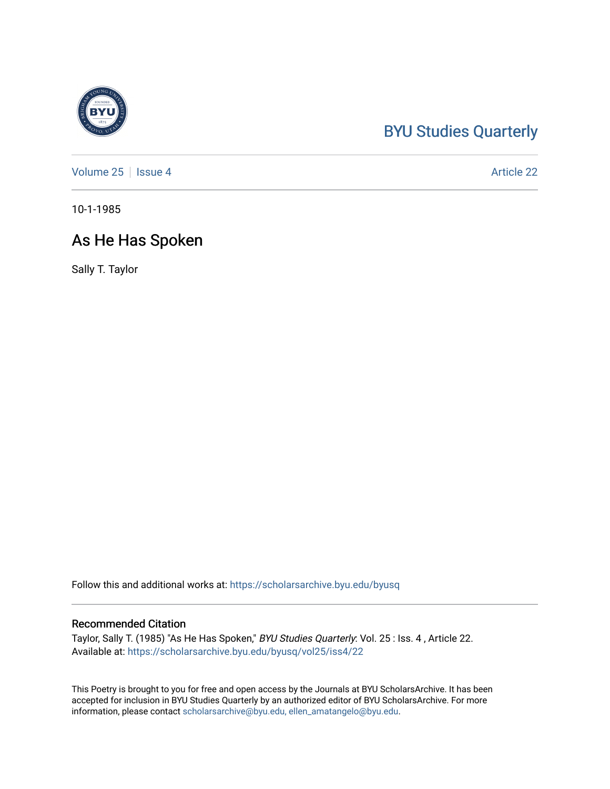## [BYU Studies Quarterly](https://scholarsarchive.byu.edu/byusq)

[Volume 25](https://scholarsarchive.byu.edu/byusq/vol25) | [Issue 4](https://scholarsarchive.byu.edu/byusq/vol25/iss4) Article 22

10-1-1985

## As He Has Spoken

Sally T. Taylor

Follow this and additional works at: [https://scholarsarchive.byu.edu/byusq](https://scholarsarchive.byu.edu/byusq?utm_source=scholarsarchive.byu.edu%2Fbyusq%2Fvol25%2Fiss4%2F22&utm_medium=PDF&utm_campaign=PDFCoverPages) 

## Recommended Citation

Taylor, Sally T. (1985) "As He Has Spoken," BYU Studies Quarterly: Vol. 25 : Iss. 4, Article 22. Available at: [https://scholarsarchive.byu.edu/byusq/vol25/iss4/22](https://scholarsarchive.byu.edu/byusq/vol25/iss4/22?utm_source=scholarsarchive.byu.edu%2Fbyusq%2Fvol25%2Fiss4%2F22&utm_medium=PDF&utm_campaign=PDFCoverPages) 

This Poetry is brought to you for free and open access by the Journals at BYU ScholarsArchive. It has been accepted for inclusion in BYU Studies Quarterly by an authorized editor of BYU ScholarsArchive. For more information, please contact [scholarsarchive@byu.edu, ellen\\_amatangelo@byu.edu.](mailto:scholarsarchive@byu.edu,%20ellen_amatangelo@byu.edu)